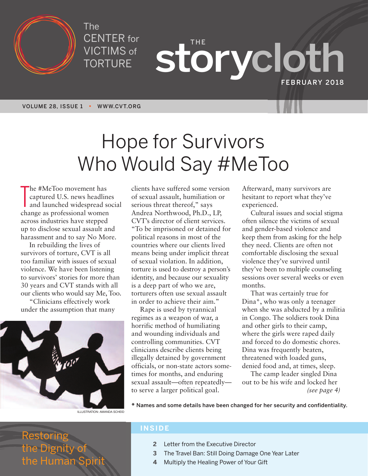

The CENTER for VICTIMS of TORTURE

**THE storycloth FEBRUARY 2018**

**VOLUME 28, ISSUE 1 • WWW.CVT.ORG**

# Hope for Survivors Who Would Say #MeToo

The #MeToo movement has<br>captured U.S. news headlin<br>and launched widespread se<br>change as professional women he #MeToo movement has captured U.S. news headlines and launched widespread social across industries have stepped up to disclose sexual assault and harassment and to say No More.

In rebuilding the lives of survivors of torture, CVT is all too familiar with issues of sexual violence. We have been listening to survivors' stories for more than 30 years and CVT stands with all our clients who would say Me, Too.

"Clinicians effectively work under the assumption that many



clients have suffered some version of sexual assault, humiliation or serious threat thereof," says Andrea Northwood, Ph.D., LP, CVT's director of client services. "To be imprisoned or detained for political reasons in most of the countries where our clients lived means being under implicit threat of sexual violation. In addition, torture is used to destroy a person's identity, and because our sexuality is a deep part of who we are, torturers often use sexual assault in order to achieve their aim."

Rape is used by tyrannical regimes as a weapon of war, a horrific method of humiliating and wounding individuals and controlling communities. CVT clinicians describe clients being illegally detained by government officials, or non-state actors sometimes for months, and enduring sexual assault—often repeatedly to serve a larger political goal.

Afterward, many survivors are hesitant to report what they've experienced.

Cultural issues and social stigma often silence the victims of sexual and gender-based violence and keep them from asking for the help they need. Clients are often not comfortable disclosing the sexual violence they've survived until they've been to multiple counseling sessions over several weeks or even months.

That was certainly true for Dina\*, who was only a teenager when she was abducted by a militia in Congo. The soldiers took Dina and other girls to their camp, where the girls were raped daily and forced to do domestic chores. Dina was frequently beaten, threatened with loaded guns, denied food and, at times, sleep.

The camp leader singled Dina out to be his wife and locked her *(see page 4)*

**\* Names and some details have been changed for her security and confidentiality.**

Restoring the Dignity of the Human S

#### **INSIDE**

- **2** Letter from the Executive Director
- **3** The Travel Ban: Still Doing Damage One Year Later
- **4** Multiply the Healing Power of Your Gift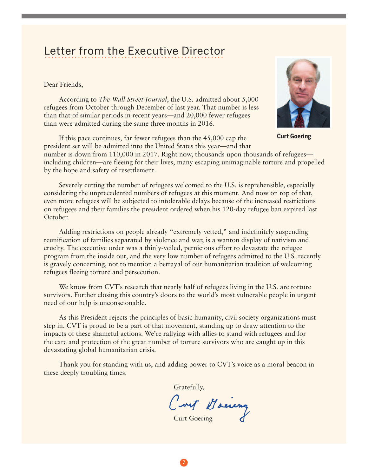#### Letter from the Executive Director LULLUI TIUITI LIIU LAUUULIVU DIIUULUI

Dear Friends,

According to *The Wall Street Journal*, the U.S. admitted about 5,000 refugees from October through December of last year. That number is less than that of similar periods in recent years—and 20,000 fewer refugees than were admitted during the same three months in 2016.

If this pace continues, far fewer refugees than the 45,000 cap the president set will be admitted into the United States this year—and that



**Curt Goering**

number is down from 110,000 in 2017. Right now, thousands upon thousands of refugees including children—are fleeing for their lives, many escaping unimaginable torture and propelled by the hope and safety of resettlement.

Severely cutting the number of refugees welcomed to the U.S. is reprehensible, especially considering the unprecedented numbers of refugees at this moment. And now on top of that, even more refugees will be subjected to intolerable delays because of the increased restrictions on refugees and their families the president ordered when his 120-day refugee ban expired last October.

Adding restrictions on people already "extremely vetted," and indefinitely suspending reunification of families separated by violence and war, is a wanton display of nativism and cruelty. The executive order was a thinly-veiled, pernicious effort to devastate the refugee program from the inside out, and the very low number of refugees admitted to the U.S. recently is gravely concerning, not to mention a betrayal of our humanitarian tradition of welcoming refugees fleeing torture and persecution.

We know from CVT's research that nearly half of refugees living in the U.S. are torture survivors. Further closing this country's doors to the world's most vulnerable people in urgent need of our help is unconscionable.

As this President rejects the principles of basic humanity, civil society organizations must step in. CVT is proud to be a part of that movement, standing up to draw attention to the impacts of these shameful actions. We're rallying with allies to stand with refugees and for the care and protection of the great number of torture survivors who are caught up in this devastating global humanitarian crisis.

Thank you for standing with us, and adding power to CVT's voice as a moral beacon in these deeply troubling times.

Gratefully,

Curt Hoeieng

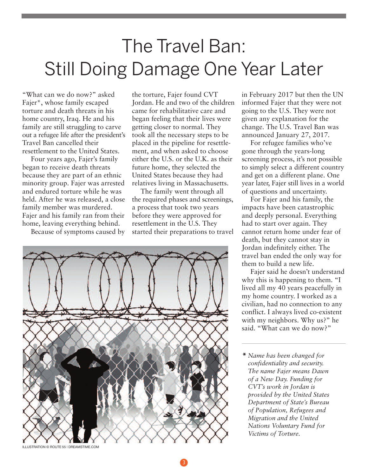## The Travel Ban: Still Doing Damage One Year Later

"What can we do now?" asked Fajer\*, whose family escaped torture and death threats in his home country, Iraq. He and his family are still struggling to carve out a refugee life after the president's Travel Ban cancelled their resettlement to the United States.

Four years ago, Fajer's family began to receive death threats because they are part of an ethnic minority group. Fajer was arrested and endured torture while he was held. After he was released, a close family member was murdered. Fajer and his family ran from their home, leaving everything behind.

Because of symptoms caused by

the torture, Fajer found CVT Jordan. He and two of the children came for rehabilitative care and began feeling that their lives were getting closer to normal. They took all the necessary steps to be placed in the pipeline for resettlement, and when asked to choose either the U.S. or the U.K. as their future home, they selected the United States because they had relatives living in Massachusetts.

The family went through all the required phases and screenings, a process that took two years before they were approved for resettlement in the U.S. They started their preparations to travel



in February 2017 but then the UN informed Fajer that they were not going to the U.S. They were not given any explanation for the change. The U.S. Travel Ban was announced January 27, 2017.

For refugee families who've gone through the years-long screening process, it's not possible to simply select a different country and get on a different plane. One year later, Fajer still lives in a world of questions and uncertainty.

For Fajer and his family, the impacts have been catastrophic and deeply personal. Everything had to start over again. They cannot return home under fear of death, but they cannot stay in Jordan indefinitely either. The travel ban ended the only way for them to build a new life.

Fajer said he doesn't understand why this is happening to them. "I lived all my 40 years peacefully in my home country. I worked as a civilian, had no connection to any conflict. I always lived co-existent with my neighbors. Why us?" he said. "What can we do now?"

**\*** *Name has been changed for confidentiality and security. The name Fajer means Dawn of a New Day. Funding for CVT's work in Jordan is provided by the United States Department of State's Bureau of Population, Refugees and Migration and the United Nations Voluntary Fund for Victims of Torture.*